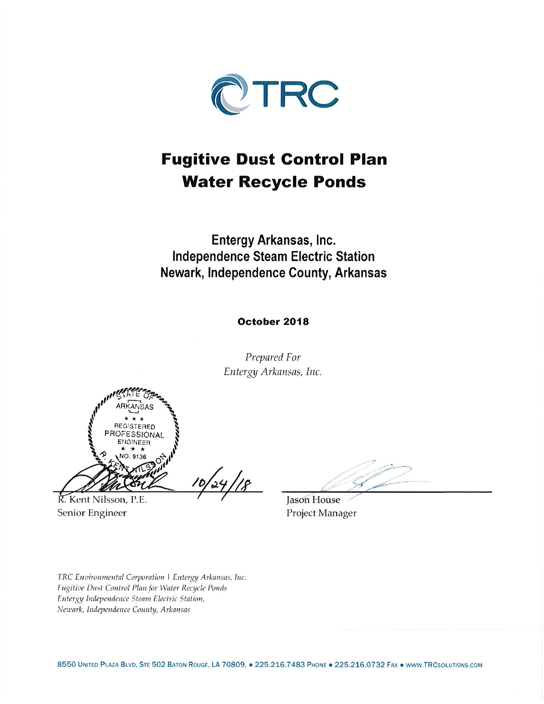

# **Fugitive Dust Control Plan Water Recycle Ponds**

Entergy Arkansas, Inc. **Independence Steam Electric Station** Newark, Independence County, Arkansas

#### October 2018

Prepared For Entergy Arkansas, Inc.

REGISTERED SSIONAL

K. Kent Nilsson, P.E. Senior Engineer

Jason House Project Manager

TRC Environmental Corporation | Entergy Arkansas, Inc. Fugitive Dust Control Plan for Water Recycle Ponds Entergy Independence Steam Electric Station, Newark, Independence County, Arkansas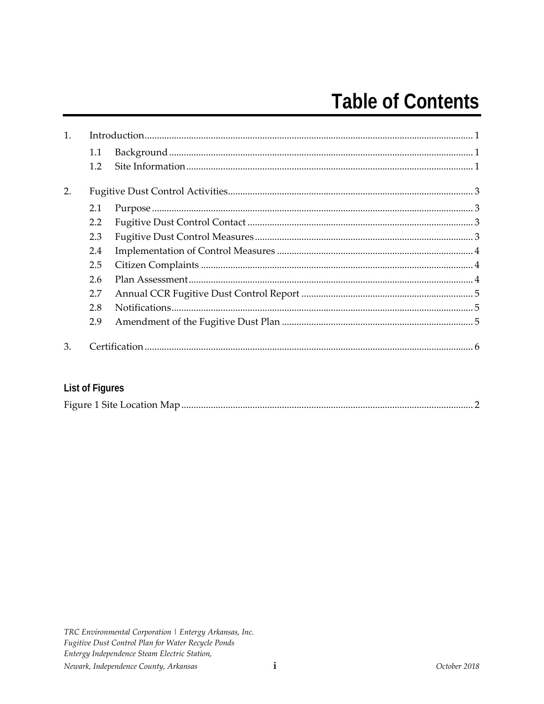# **Table of Contents**

| 1. |         |  |  |
|----|---------|--|--|
|    | $1.1\,$ |  |  |
|    | $1.2\,$ |  |  |
| 2. |         |  |  |
|    | 2.1     |  |  |
|    | 2.2     |  |  |
|    | 2.3     |  |  |
|    | 2.4     |  |  |
|    | 2.5     |  |  |
|    | 2.6     |  |  |
|    | 2.7     |  |  |
|    | 2.8     |  |  |
|    | 2.9     |  |  |
| 3. |         |  |  |

# List of Figures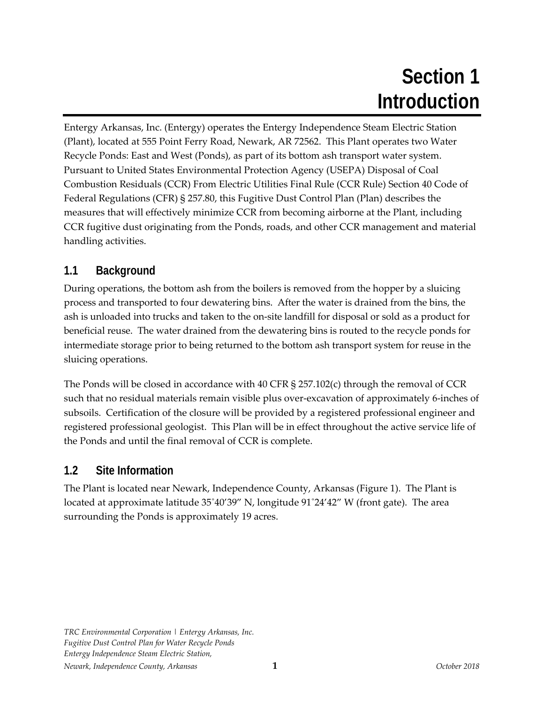# **Section 1 Introduction**

Entergy Arkansas, Inc. (Entergy) operates the Entergy Independence Steam Electric Station (Plant), located at 555 Point Ferry Road, Newark, AR 72562. This Plant operates two Water Recycle Ponds: East and West (Ponds), as part of its bottom ash transport water system. Pursuant to United States Environmental Protection Agency (USEPA) Disposal of Coal Combustion Residuals (CCR) From Electric Utilities Final Rule (CCR Rule) Section 40 Code of Federal Regulations (CFR) § 257.80, this Fugitive Dust Control Plan (Plan) describes the measures that will effectively minimize CCR from becoming airborne at the Plant, including CCR fugitive dust originating from the Ponds, roads, and other CCR management and material handling activities.

# **1.1 Background**

During operations, the bottom ash from the boilers is removed from the hopper by a sluicing process and transported to four dewatering bins. After the water is drained from the bins, the ash is unloaded into trucks and taken to the on‐site landfill for disposal or sold as a product for beneficial reuse. The water drained from the dewatering bins is routed to the recycle ponds for intermediate storage prior to being returned to the bottom ash transport system for reuse in the sluicing operations.

The Ponds will be closed in accordance with 40 CFR  $\S$  257.102(c) through the removal of CCR such that no residual materials remain visible plus over-excavation of approximately 6-inches of subsoils. Certification of the closure will be provided by a registered professional engineer and registered professional geologist. This Plan will be in effect throughout the active service life of the Ponds and until the final removal of CCR is complete.

## **1.2 Site Information**

The Plant is located near Newark, Independence County, Arkansas (Figure 1). The Plant is located at approximate latitude 35˚40'39" N, longitude 91˚24'42" W (front gate). The area surrounding the Ponds is approximately 19 acres.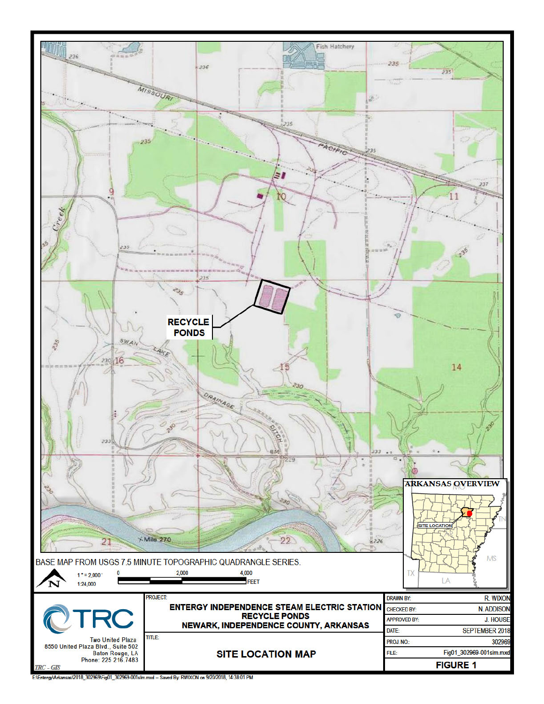

E:\Entergy\Arkansas\2018\_302969\Fig01\_302969-001slm.mxd - Saved By: RWIXON on 9/20/2018, 14:38:01 PM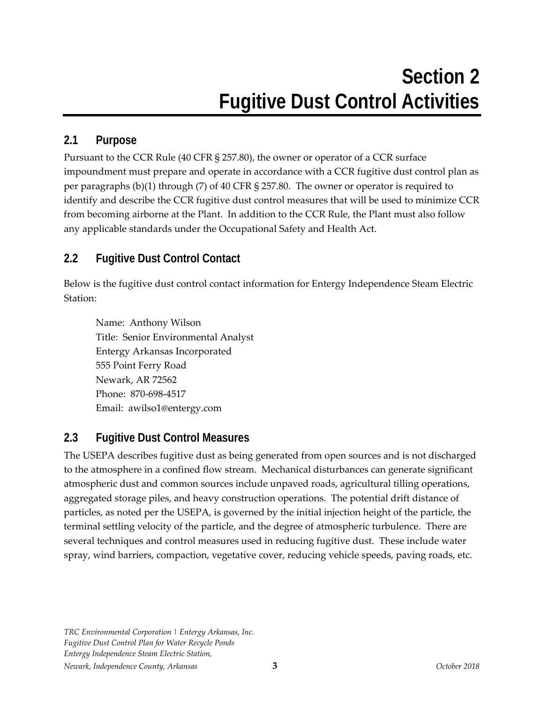#### **2.1 Purpose**

Pursuant to the CCR Rule (40 CFR § 257.80), the owner or operator of a CCR surface impoundment must prepare and operate in accordance with a CCR fugitive dust control plan as per paragraphs (b)(1) through (7) of 40 CFR § 257.80. The owner or operator is required to identify and describe the CCR fugitive dust control measures that will be used to minimize CCR from becoming airborne at the Plant. In addition to the CCR Rule, the Plant must also follow any applicable standards under the Occupational Safety and Health Act.

# **2.2 Fugitive Dust Control Contact**

Below is the fugitive dust control contact information for Entergy Independence Steam Electric Station:

Name: Anthony Wilson Title: Senior Environmental Analyst Entergy Arkansas Incorporated 555 Point Ferry Road Newark, AR 72562 Phone: 870‐698‐4517 Email: awilso1@entergy.com

#### **2.3 Fugitive Dust Control Measures**

The USEPA describes fugitive dust as being generated from open sources and is not discharged to the atmosphere in a confined flow stream. Mechanical disturbances can generate significant atmospheric dust and common sources include unpaved roads, agricultural tilling operations, aggregated storage piles, and heavy construction operations. The potential drift distance of particles, as noted per the USEPA, is governed by the initial injection height of the particle, the terminal settling velocity of the particle, and the degree of atmospheric turbulence. There are several techniques and control measures used in reducing fugitive dust. These include water spray, wind barriers, compaction, vegetative cover, reducing vehicle speeds, paving roads, etc.

*TRC Environmental Corporation | Entergy Arkansas, Inc. Fugitive Dust Control Plan for Water Recycle Ponds Entergy Independence Steam Electric Station, Newark, Independence County, Arkansas* **3** *October 2018*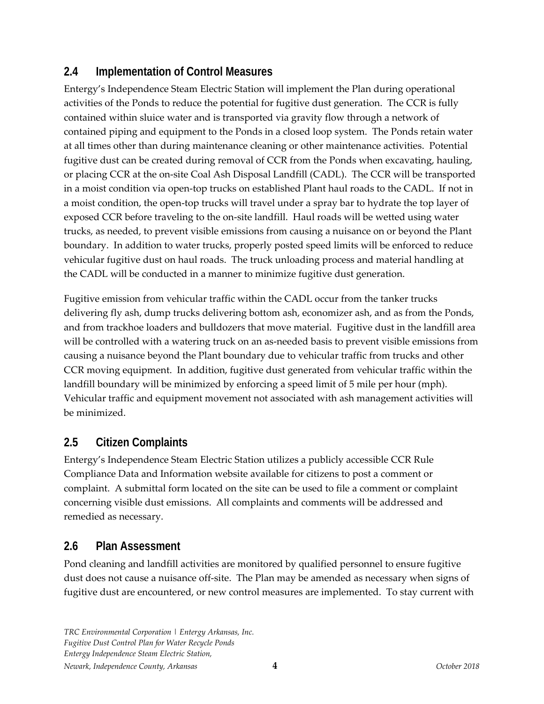### **2.4 Implementation of Control Measures**

Entergy's Independence Steam Electric Station will implement the Plan during operational activities of the Ponds to reduce the potential for fugitive dust generation. The CCR is fully contained within sluice water and is transported via gravity flow through a network of contained piping and equipment to the Ponds in a closed loop system. The Ponds retain water at all times other than during maintenance cleaning or other maintenance activities. Potential fugitive dust can be created during removal of CCR from the Ponds when excavating, hauling, or placing CCR at the on‐site Coal Ash Disposal Landfill (CADL). The CCR will be transported in a moist condition via open-top trucks on established Plant haul roads to the CADL. If not in a moist condition, the open‐top trucks will travel under a spray bar to hydrate the top layer of exposed CCR before traveling to the on‐site landfill. Haul roads will be wetted using water trucks, as needed, to prevent visible emissions from causing a nuisance on or beyond the Plant boundary. In addition to water trucks, properly posted speed limits will be enforced to reduce vehicular fugitive dust on haul roads. The truck unloading process and material handling at the CADL will be conducted in a manner to minimize fugitive dust generation.

Fugitive emission from vehicular traffic within the CADL occur from the tanker trucks delivering fly ash, dump trucks delivering bottom ash, economizer ash, and as from the Ponds, and from trackhoe loaders and bulldozers that move material. Fugitive dust in the landfill area will be controlled with a watering truck on an as-needed basis to prevent visible emissions from causing a nuisance beyond the Plant boundary due to vehicular traffic from trucks and other CCR moving equipment. In addition, fugitive dust generated from vehicular traffic within the landfill boundary will be minimized by enforcing a speed limit of 5 mile per hour (mph). Vehicular traffic and equipment movement not associated with ash management activities will be minimized.

## **2.5 Citizen Complaints**

Entergy's Independence Steam Electric Station utilizes a publicly accessible CCR Rule Compliance Data and Information website available for citizens to post a comment or complaint. A submittal form located on the site can be used to file a comment or complaint concerning visible dust emissions. All complaints and comments will be addressed and remedied as necessary.

## **2.6 Plan Assessment**

Pond cleaning and landfill activities are monitored by qualified personnel to ensure fugitive dust does not cause a nuisance off‐site. The Plan may be amended as necessary when signs of fugitive dust are encountered, or new control measures are implemented. To stay current with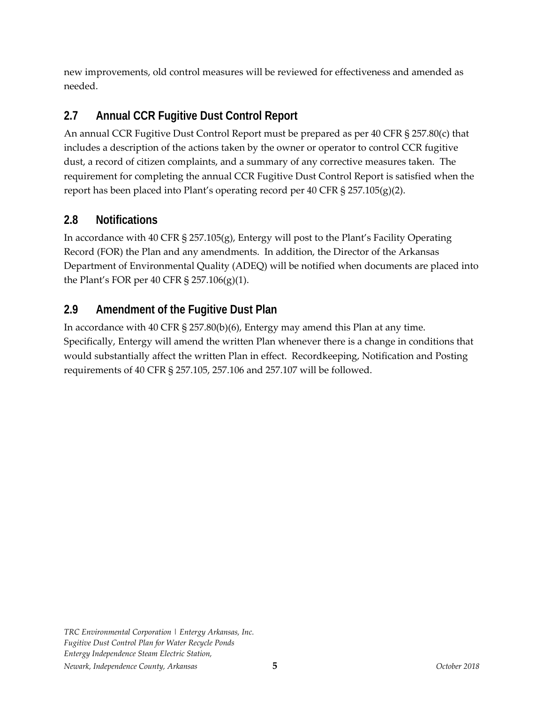new improvements, old control measures will be reviewed for effectiveness and amended as needed.

# **2.7 Annual CCR Fugitive Dust Control Report**

An annual CCR Fugitive Dust Control Report must be prepared as per 40 CFR § 257.80(c) that includes a description of the actions taken by the owner or operator to control CCR fugitive dust, a record of citizen complaints, and a summary of any corrective measures taken. The requirement for completing the annual CCR Fugitive Dust Control Report is satisfied when the report has been placed into Plant's operating record per 40 CFR § 257.105(g)(2).

#### **2.8 Notifications**

In accordance with 40 CFR § 257.105(g), Entergy will post to the Plant's Facility Operating Record (FOR) the Plan and any amendments. In addition, the Director of the Arkansas Department of Environmental Quality (ADEQ) will be notified when documents are placed into the Plant's FOR per 40 CFR § 257.106(g)(1).

# **2.9 Amendment of the Fugitive Dust Plan**

In accordance with 40 CFR § 257.80(b)(6), Entergy may amend this Plan at any time. Specifically, Entergy will amend the written Plan whenever there is a change in conditions that would substantially affect the written Plan in effect. Recordkeeping, Notification and Posting requirements of 40 CFR § 257.105, 257.106 and 257.107 will be followed.